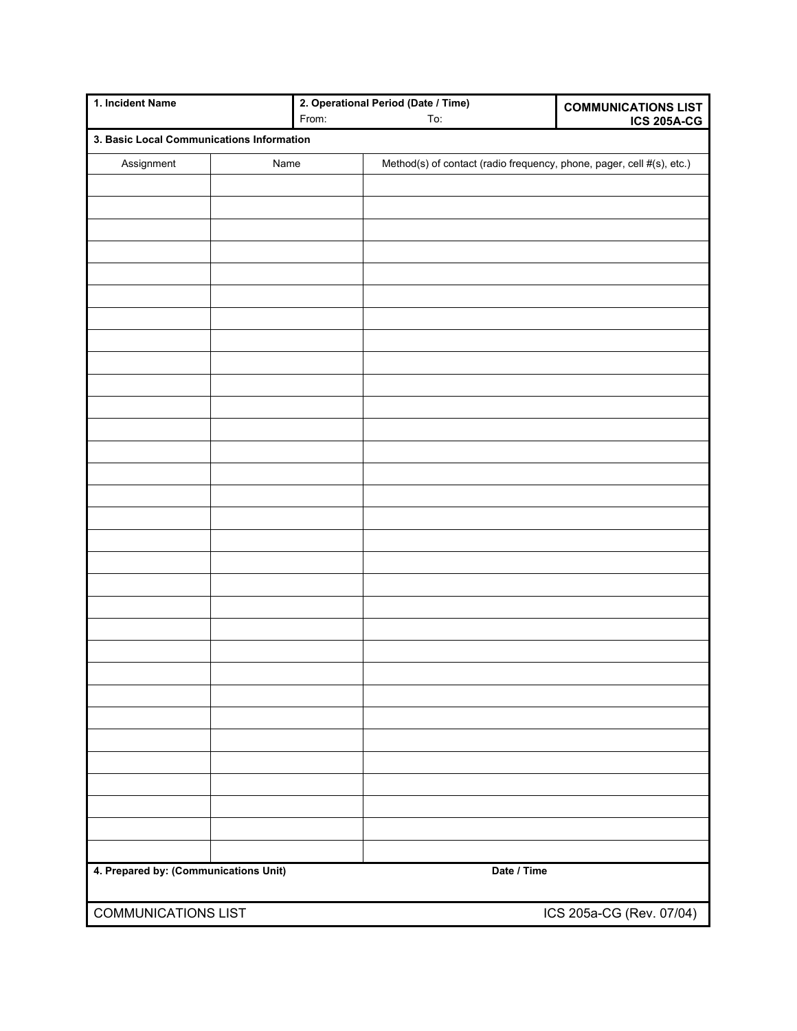| 1. Incident Name                          |      | 2. Operational Period (Date / Time) |                                                                       | <b>COMMUNICATIONS LIST</b> |  |
|-------------------------------------------|------|-------------------------------------|-----------------------------------------------------------------------|----------------------------|--|
|                                           |      | From:                               | To:                                                                   | <b>ICS 205A-CG</b>         |  |
| 3. Basic Local Communications Information |      |                                     |                                                                       |                            |  |
| Assignment                                | Name |                                     | Method(s) of contact (radio frequency, phone, pager, cell #(s), etc.) |                            |  |
|                                           |      |                                     |                                                                       |                            |  |
|                                           |      |                                     |                                                                       |                            |  |
|                                           |      |                                     |                                                                       |                            |  |
|                                           |      |                                     |                                                                       |                            |  |
|                                           |      |                                     |                                                                       |                            |  |
|                                           |      |                                     |                                                                       |                            |  |
|                                           |      |                                     |                                                                       |                            |  |
|                                           |      |                                     |                                                                       |                            |  |
|                                           |      |                                     |                                                                       |                            |  |
|                                           |      |                                     |                                                                       |                            |  |
|                                           |      |                                     |                                                                       |                            |  |
|                                           |      |                                     |                                                                       |                            |  |
|                                           |      |                                     |                                                                       |                            |  |
|                                           |      |                                     |                                                                       |                            |  |
|                                           |      |                                     |                                                                       |                            |  |
|                                           |      |                                     |                                                                       |                            |  |
|                                           |      |                                     |                                                                       |                            |  |
|                                           |      |                                     |                                                                       |                            |  |
|                                           |      |                                     |                                                                       |                            |  |
|                                           |      |                                     |                                                                       |                            |  |
|                                           |      |                                     |                                                                       |                            |  |
|                                           |      |                                     |                                                                       |                            |  |
|                                           |      |                                     |                                                                       |                            |  |
|                                           |      |                                     |                                                                       |                            |  |
|                                           |      |                                     |                                                                       |                            |  |
|                                           |      |                                     |                                                                       |                            |  |
|                                           |      |                                     |                                                                       |                            |  |
|                                           |      |                                     |                                                                       |                            |  |
|                                           |      |                                     |                                                                       |                            |  |
|                                           |      |                                     |                                                                       |                            |  |
|                                           |      |                                     |                                                                       |                            |  |
|                                           |      |                                     |                                                                       |                            |  |
| 4. Prepared by: (Communications Unit)     |      |                                     | Date / Time                                                           |                            |  |
| <b>COMMUNICATIONS LIST</b>                |      |                                     |                                                                       | ICS 205a-CG (Rev. 07/04)   |  |